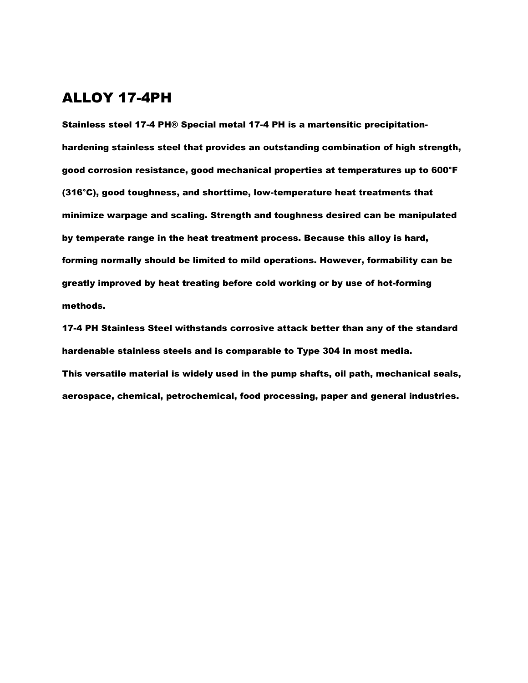#### ALLOY 17-4PH

Stainless steel 17-4 PH® Special metal 17-4 PH is a martensitic precipitationhardening stainless steel that provides an outstanding combination of high strength, good corrosion resistance, good mechanical properties at temperatures up to 600°F (316°C), good toughness, and shorttime, low-temperature heat treatments that minimize warpage and scaling. Strength and toughness desired can be manipulated by temperate range in the heat treatment process. Because this alloy is hard, forming normally should be limited to mild operations. However, formability can be greatly improved by heat treating before cold working or by use of hot-forming methods.

17-4 PH Stainless Steel withstands corrosive attack better than any of the standard hardenable stainless steels and is comparable to Type 304 in most media. This versatile material is widely used in the pump shafts, oil path, mechanical seals, aerospace, chemical, petrochemical, food processing, paper and general industries.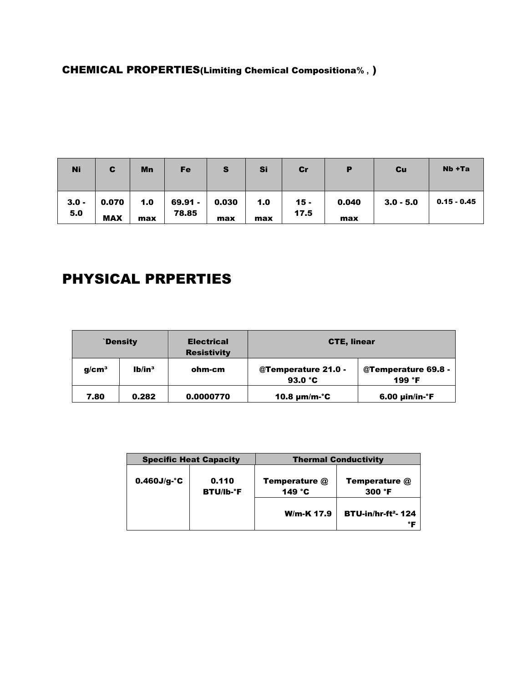### CHEMICAL PROPERTIES(Limiting Chemical Compositiona**% ,** )

| <b>Ni</b>      | C                   | Mn         | Fe               | S            | Si         | cr             | P            | Cu          | Nb +Ta        |
|----------------|---------------------|------------|------------------|--------------|------------|----------------|--------------|-------------|---------------|
| $3.0 -$<br>5.0 | 0.070<br><b>MAX</b> | 1.0<br>max | 69.91 -<br>78.85 | 0.030<br>max | 1.0<br>max | $15 -$<br>17.5 | 0.040<br>max | $3.0 - 5.0$ | $0.15 - 0.45$ |

# PHYSICAL PRPERTIES

|                   | <b>Density</b>       | <b>Electrical</b><br><b>Resistivity</b> | <b>CTE, linear</b>                       |                                        |  |  |
|-------------------|----------------------|-----------------------------------------|------------------------------------------|----------------------------------------|--|--|
| q/cm <sup>3</sup> | $1h$ in <sup>3</sup> | ohm-cm                                  | @Temperature 21.0 -<br>93.0 $^{\circ}$ C | @Temperature 69.8 -<br>199 $\degree$ F |  |  |
| 7.80              | 0.282<br>0.0000770   |                                         | 10.8 $\mu$ m/m- $\degree$ C              | $6.00$ µin/in- $\degree$ F             |  |  |

|                                            | <b>Specific Heat Capacity</b> | <b>Thermal Conductivity</b>              |                                                  |  |
|--------------------------------------------|-------------------------------|------------------------------------------|--------------------------------------------------|--|
| $0.460J/g·^c$<br>0.110<br><b>BTU/Ib-°F</b> |                               | <b>Temperature @</b><br>149 $^{\circ}$ C | <b>Temperature @</b><br>$300 \text{ }^{\circ}$ F |  |
|                                            |                               | <b>W/m-K 17.9</b>                        | <b>BTU-in/hr-ft<sup>2</sup>-124</b><br>°F        |  |